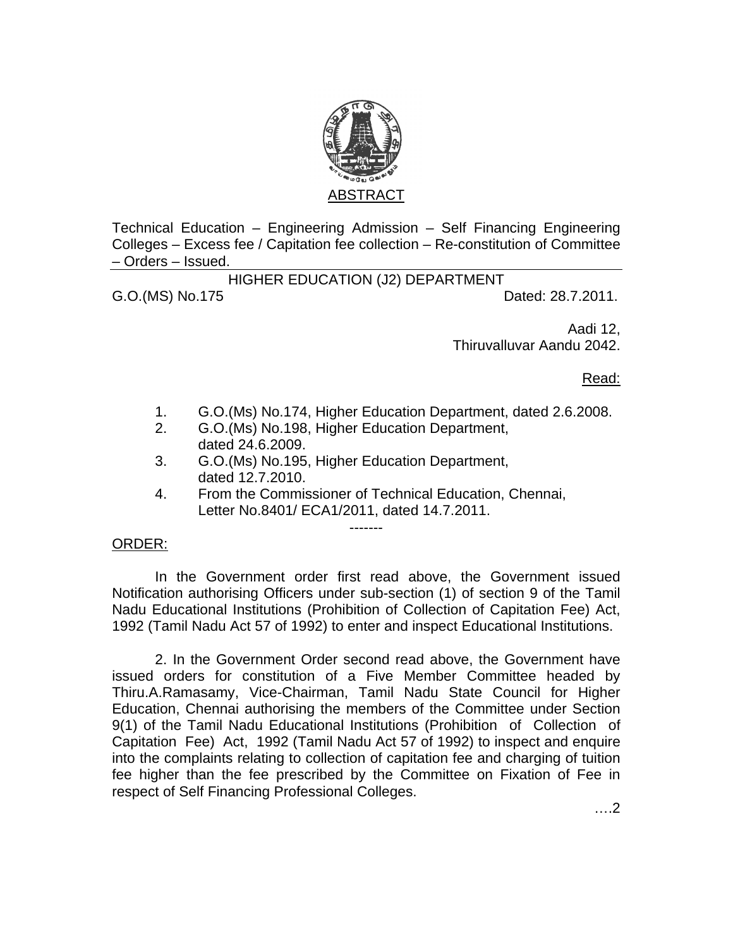

Technical Education – Engineering Admission – Self Financing Engineering Colleges – Excess fee / Capitation fee collection – Re-constitution of Committee – Orders – Issued.

HIGHER EDUCATION (J2) DEPARTMENT

G.O.(MS) No.175 Dated: 28.7.2011.

Aadi 12, Thiruvalluvar Aandu 2042.

Read:

- 1. G.O.(Ms) No.174, Higher Education Department, dated 2.6.2008.
- 2. G.O.(Ms) No.198, Higher Education Department, dated 24.6.2009.
- 3. G.O.(Ms) No.195, Higher Education Department, dated 12.7.2010.
- 4. From the Commissioner of Technical Education, Chennai, Letter No.8401/ ECA1/2011, dated 14.7.2011.

-------

## ORDER:

 In the Government order first read above, the Government issued Notification authorising Officers under sub-section (1) of section 9 of the Tamil Nadu Educational Institutions (Prohibition of Collection of Capitation Fee) Act, 1992 (Tamil Nadu Act 57 of 1992) to enter and inspect Educational Institutions.

 2. In the Government Order second read above, the Government have issued orders for constitution of a Five Member Committee headed by Thiru.A.Ramasamy, Vice-Chairman, Tamil Nadu State Council for Higher Education, Chennai authorising the members of the Committee under Section 9(1) of the Tamil Nadu Educational Institutions (Prohibition of Collection of Capitation Fee) Act, 1992 (Tamil Nadu Act 57 of 1992) to inspect and enquire into the complaints relating to collection of capitation fee and charging of tuition fee higher than the fee prescribed by the Committee on Fixation of Fee in respect of Self Financing Professional Colleges.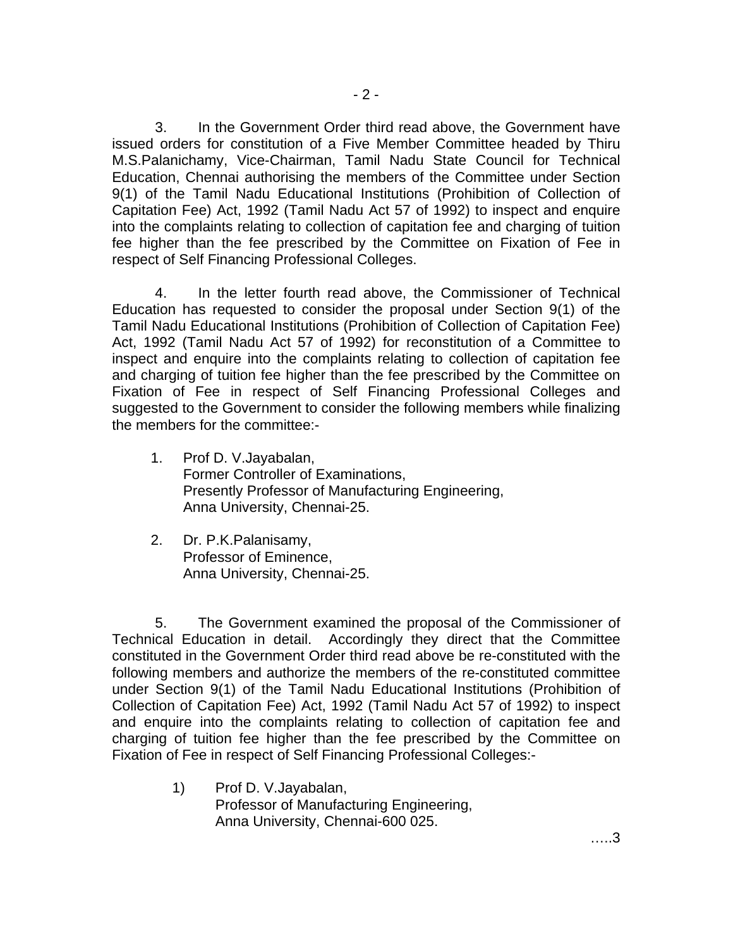3. In the Government Order third read above, the Government have issued orders for constitution of a Five Member Committee headed by Thiru M.S.Palanichamy, Vice-Chairman, Tamil Nadu State Council for Technical Education, Chennai authorising the members of the Committee under Section 9(1) of the Tamil Nadu Educational Institutions (Prohibition of Collection of Capitation Fee) Act, 1992 (Tamil Nadu Act 57 of 1992) to inspect and enquire into the complaints relating to collection of capitation fee and charging of tuition fee higher than the fee prescribed by the Committee on Fixation of Fee in respect of Self Financing Professional Colleges.

 4. In the letter fourth read above, the Commissioner of Technical Education has requested to consider the proposal under Section 9(1) of the Tamil Nadu Educational Institutions (Prohibition of Collection of Capitation Fee) Act, 1992 (Tamil Nadu Act 57 of 1992) for reconstitution of a Committee to inspect and enquire into the complaints relating to collection of capitation fee and charging of tuition fee higher than the fee prescribed by the Committee on Fixation of Fee in respect of Self Financing Professional Colleges and suggested to the Government to consider the following members while finalizing the members for the committee:-

- 1. Prof D. V.Jayabalan, Former Controller of Examinations, Presently Professor of Manufacturing Engineering, Anna University, Chennai-25.
- 2. Dr. P.K.Palanisamy, Professor of Eminence, Anna University, Chennai-25.

 5. The Government examined the proposal of the Commissioner of Technical Education in detail. Accordingly they direct that the Committee constituted in the Government Order third read above be re-constituted with the following members and authorize the members of the re-constituted committee under Section 9(1) of the Tamil Nadu Educational Institutions (Prohibition of Collection of Capitation Fee) Act, 1992 (Tamil Nadu Act 57 of 1992) to inspect and enquire into the complaints relating to collection of capitation fee and charging of tuition fee higher than the fee prescribed by the Committee on Fixation of Fee in respect of Self Financing Professional Colleges:-

> 1) Prof D. V.Jayabalan, Professor of Manufacturing Engineering, Anna University, Chennai-600 025.

…..3